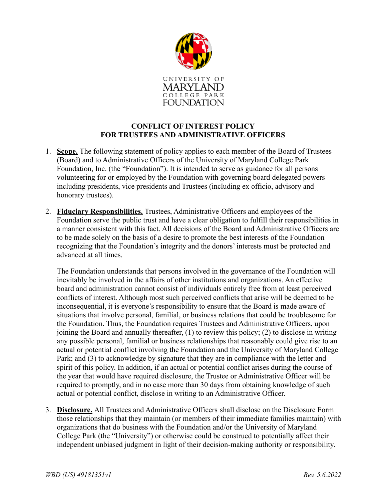

## **CONFLICT OF INTEREST POLICY FOR TRUSTEES AND ADMINISTRATIVE OFFICERS**

- 1. **Scope.** The following statement of policy applies to each member of the Board of Trustees (Board) and to Administrative Officers of the University of Maryland College Park Foundation, Inc. (the "Foundation"). It is intended to serve as guidance for all persons volunteering for or employed by the Foundation with governing board delegated powers including presidents, vice presidents and Trustees (including ex officio, advisory and honorary trustees).
- 2. **Fiduciary Responsibilities.** Trustees, Administrative Officers and employees of the Foundation serve the public trust and have a clear obligation to fulfill their responsibilities in a manner consistent with this fact. All decisions of the Board and Administrative Officers are to be made solely on the basis of a desire to promote the best interests of the Foundation recognizing that the Foundation's integrity and the donors' interests must be protected and advanced at all times.

The Foundation understands that persons involved in the governance of the Foundation will inevitably be involved in the affairs of other institutions and organizations. An effective board and administration cannot consist of individuals entirely free from at least perceived conflicts of interest. Although most such perceived conflicts that arise will be deemed to be inconsequential, it is everyone's responsibility to ensure that the Board is made aware of situations that involve personal, familial, or business relations that could be troublesome for the Foundation. Thus, the Foundation requires Trustees and Administrative Officers, upon joining the Board and annually thereafter, (1) to review this policy; (2) to disclose in writing any possible personal, familial or business relationships that reasonably could give rise to an actual or potential conflict involving the Foundation and the University of Maryland College Park; and (3) to acknowledge by signature that they are in compliance with the letter and spirit of this policy. In addition, if an actual or potential conflict arises during the course of the year that would have required disclosure, the Trustee or Administrative Officer will be required to promptly, and in no case more than 30 days from obtaining knowledge of such actual or potential conflict, disclose in writing to an Administrative Officer.

3. **Disclosure.** All Trustees and Administrative Officers shall disclose on the Disclosure Form those relationships that they maintain (or members of their immediate families maintain) with organizations that do business with the Foundation and/or the University of Maryland College Park (the "University") or otherwise could be construed to potentially affect their independent unbiased judgment in light of their decision-making authority or responsibility.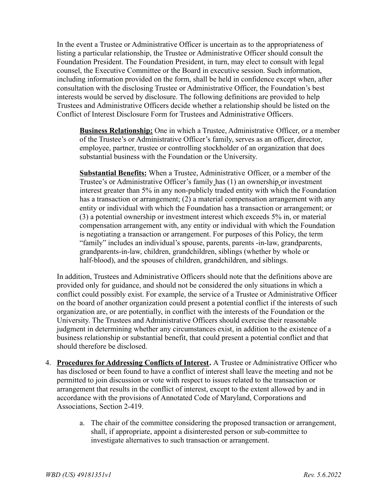In the event a Trustee or Administrative Officer is uncertain as to the appropriateness of listing a particular relationship, the Trustee or Administrative Officer should consult the Foundation President. The Foundation President, in turn, may elect to consult with legal counsel, the Executive Committee or the Board in executive session. Such information, including information provided on the form, shall be held in confidence except when, after consultation with the disclosing Trustee or Administrative Officer, the Foundation's best interests would be served by disclosure. The following definitions are provided to help Trustees and Administrative Officers decide whether a relationship should be listed on the Conflict of Interest Disclosure Form for Trustees and Administrative Officers.

**Business Relationship:** One in which a Trustee, Administrative Officer, or a member of the Trustee's or Administrative Officer's family, serves as an officer, director, employee, partner, trustee or controlling stockholder of an organization that does substantial business with the Foundation or the University.

**Substantial Benefits:** When a Trustee, Administrative Officer, or a member of the Trustee's or Administrative Officer's family has (1) an ownership or investment interest greater than 5% in any non-publicly traded entity with which the Foundation has a transaction or arrangement; (2) a material compensation arrangement with any entity or individual with which the Foundation has a transaction or arrangement; or (3) a potential ownership or investment interest which exceeds 5% in, or material compensation arrangement with, any entity or individual with which the Foundation is negotiating a transaction or arrangement. For purposes of this Policy, the term "family" includes an individual's spouse, parents, parents -in-law, grandparents, grandparents-in-law, children, grandchildren, siblings (whether by whole or half-blood), and the spouses of children, grandchildren, and siblings.

In addition, Trustees and Administrative Officers should note that the definitions above are provided only for guidance, and should not be considered the only situations in which a conflict could possibly exist. For example, the service of a Trustee or Administrative Officer on the board of another organization could present a potential conflict if the interests of such organization are, or are potentially, in conflict with the interests of the Foundation or the University. The Trustees and Administrative Officers should exercise their reasonable judgment in determining whether any circumstances exist, in addition to the existence of a business relationship or substantial benefit, that could present a potential conflict and that should therefore be disclosed.

- 4. **Procedures for Addressing Conflicts of Interest.** A Trustee or Administrative Officer who has disclosed or been found to have a conflict of interest shall leave the meeting and not be permitted to join discussion or vote with respect to issues related to the transaction or arrangement that results in the conflict of interest, except to the extent allowed by and in accordance with the provisions of Annotated Code of Maryland, Corporations and Associations, Section 2-419.
	- a. The chair of the committee considering the proposed transaction or arrangement, shall, if appropriate, appoint a disinterested person or sub-committee to investigate alternatives to such transaction or arrangement.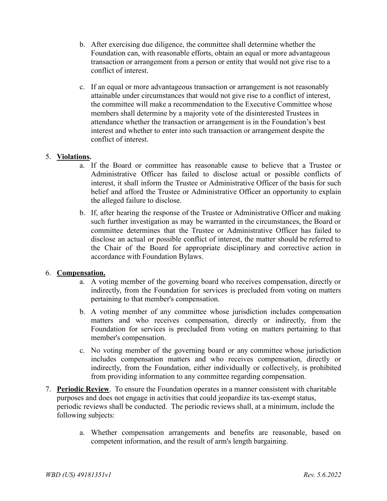- b. After exercising due diligence, the committee shall determine whether the Foundation can, with reasonable efforts, obtain an equal or more advantageous transaction or arrangement from a person or entity that would not give rise to a conflict of interest.
- c. If an equal or more advantageous transaction or arrangement is not reasonably attainable under circumstances that would not give rise to a conflict of interest, the committee will make a recommendation to the Executive Committee whose members shall determine by a majority vote of the disinterested Trustees in attendance whether the transaction or arrangement is in the Foundation's best interest and whether to enter into such transaction or arrangement despite the conflict of interest.

## 5. **Violations.**

- a. If the Board or committee has reasonable cause to believe that a Trustee or Administrative Officer has failed to disclose actual or possible conflicts of interest, it shall inform the Trustee or Administrative Officer of the basis for such belief and afford the Trustee or Administrative Officer an opportunity to explain the alleged failure to disclose.
- b. If, after hearing the response of the Trustee or Administrative Officer and making such further investigation as may be warranted in the circumstances, the Board or committee determines that the Trustee or Administrative Officer has failed to disclose an actual or possible conflict of interest, the matter should be referred to the Chair of the Board for appropriate disciplinary and corrective action in accordance with Foundation Bylaws.

## 6. **Compensation.**

- a. A voting member of the governing board who receives compensation, directly or indirectly, from the Foundation for services is precluded from voting on matters pertaining to that member's compensation.
- b. A voting member of any committee whose jurisdiction includes compensation matters and who receives compensation, directly or indirectly, from the Foundation for services is precluded from voting on matters pertaining to that member's compensation.
- c. No voting member of the governing board or any committee whose jurisdiction includes compensation matters and who receives compensation, directly or indirectly, from the Foundation, either individually or collectively, is prohibited from providing information to any committee regarding compensation.
- 7. **Periodic Review**. To ensure the Foundation operates in a manner consistent with charitable purposes and does not engage in activities that could jeopardize its tax-exempt status, periodic reviews shall be conducted. The periodic reviews shall, at a minimum, include the following subjects:
	- a. Whether compensation arrangements and benefits are reasonable, based on competent information, and the result of arm's length bargaining.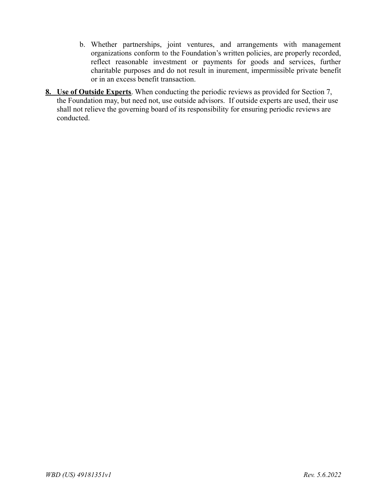- b. Whether partnerships, joint ventures, and arrangements with management organizations conform to the Foundation's written policies, are properly recorded, reflect reasonable investment or payments for goods and services, further charitable purposes and do not result in inurement, impermissible private benefit or in an excess benefit transaction.
- **8. Use of Outside Experts**. When conducting the periodic reviews as provided for Section 7, the Foundation may, but need not, use outside advisors. If outside experts are used, their use shall not relieve the governing board of its responsibility for ensuring periodic reviews are conducted.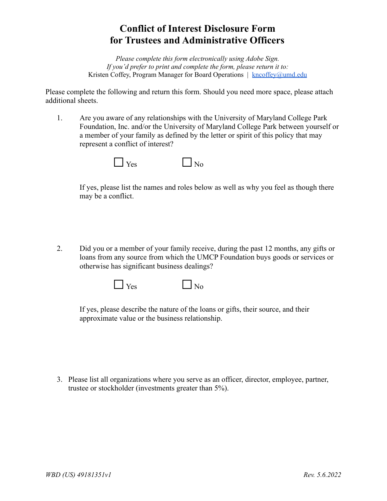## **Conflict of Interest Disclosure Form for Trustees and Administrative Officers**

*Please complete this form electronically using Adobe Sign. If you'd prefer to print and complete the form, please return it to:* Kristen Coffey, Program Manager for Board Operations | [kncoffey@umd.edu](mailto:kncoffey@umd.edu)

Please complete the following and return this form. Should you need more space, please attach additional sheets.

1. Are you aware of any relationships with the University of Maryland College Park Foundation, Inc. and/or the University of Maryland College Park between yourself or a member of your family as defined by the letter or spirit of this policy that may represent a conflict of interest?



If yes, please list the names and roles below as well as why you feel as though there may be a conflict.

2. Did you or a member of your family receive, during the past 12 months, any gifts or loans from any source from which the UMCP Foundation buys goods or services or otherwise has significant business dealings?



If yes, please describe the nature of the loans or gifts, their source, and their approximate value or the business relationship.

3. Please list all organizations where you serve as an officer, director, employee, partner, trustee or stockholder (investments greater than 5%).